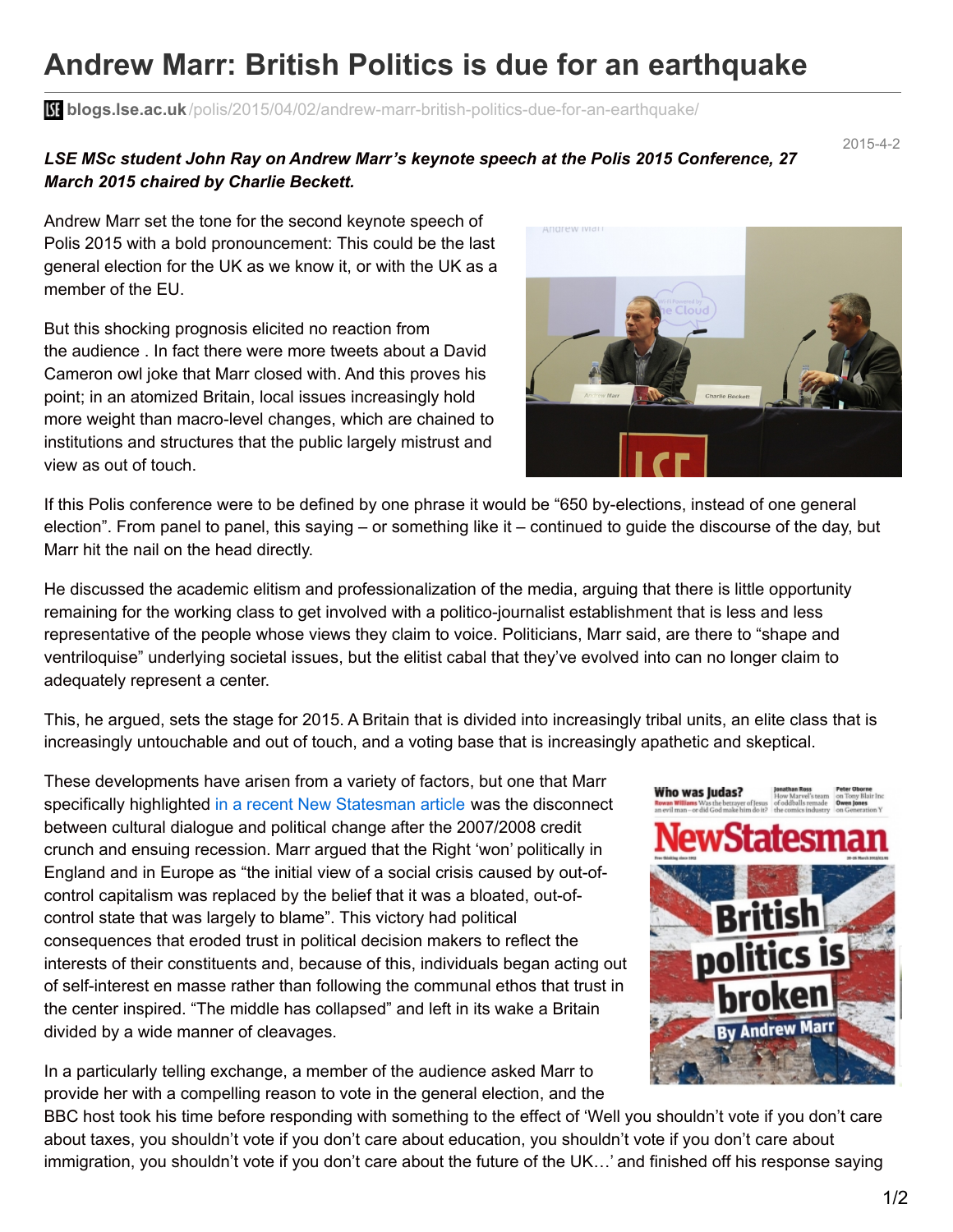## **Andrew Marr: British Politics is due for an earthquake**

**blogs.lse.ac.uk**[/polis/2015/04/02/andrew-marr-british-politics-due-for-an-earthquake/](http://blogs.lse.ac.uk/polis/2015/04/02/andrew-marr-british-politics-due-for-an-earthquake/)

## *LSE MSc student John Ray on Andrew Marr's keynote speech at the Polis 2015 Conference, 27 March 2015 chaired by Charlie Beckett.*

2015-4-2

Andrew Marr set the tone for the second keynote speech of Polis 2015 with a bold pronouncement: This could be the last general election for the UK as we know it, or with the UK as a member of the EU.

But this shocking prognosis elicited no reaction from the audience . In fact there were more tweets about a David Cameron owl joke that Marr closed with. And this proves his point; in an atomized Britain, local issues increasingly hold more weight than macro-level changes, which are chained to institutions and structures that the public largely mistrust and view as out of touch.

If this Polis conference were to be defined by one phrase it would be "650 by-elections, instead of one general election". From panel to panel, this saying – or something like it – continued to guide the discourse of the day, but Marr hit the nail on the head directly.

He discussed the academic elitism and professionalization of the media, arguing that there is little opportunity remaining for the working class to get involved with a politico-journalist establishment that is less and less representative of the people whose views they claim to voice. Politicians, Marr said, are there to "shape and ventriloquise" underlying societal issues, but the elitist cabal that they've evolved into can no longer claim to adequately represent a center.

This, he argued, sets the stage for 2015. A Britain that is divided into increasingly tribal units, an elite class that is increasingly untouchable and out of touch, and a voting base that is increasingly apathetic and skeptical.

These developments have arisen from a variety of factors, but one that Marr specifically highlighted in a recent New [Statesman](http://www.newstatesman.com/politics/2015/03/andrew-marr-british-politics-broken-centre-cannot-hold) article was the disconnect between cultural dialogue and political change after the 2007/2008 credit crunch and ensuing recession. Marr argued that the Right 'won' politically in England and in Europe as "the initial view of a social crisis caused by out-ofcontrol capitalism was replaced by the belief that it was a bloated, out-ofcontrol state that was largely to blame". This victory had political consequences that eroded trust in political decision makers to reflect the interests of their constituents and, because of this, individuals began acting out of self-interest en masse rather than following the communal ethos that trust in the center inspired. "The middle has collapsed" and left in its wake a Britain divided by a wide manner of cleavages.

In a particularly telling exchange, a member of the audience asked Marr to provide her with a compelling reason to vote in the general election, and the



BBC host took his time before responding with something to the effect of 'Well you shouldn't vote if you don't care about taxes, you shouldn't vote if you don't care about education, you shouldn't vote if you don't care about immigration, you shouldn't vote if you don't care about the future of the UK…' and finished off his response saying